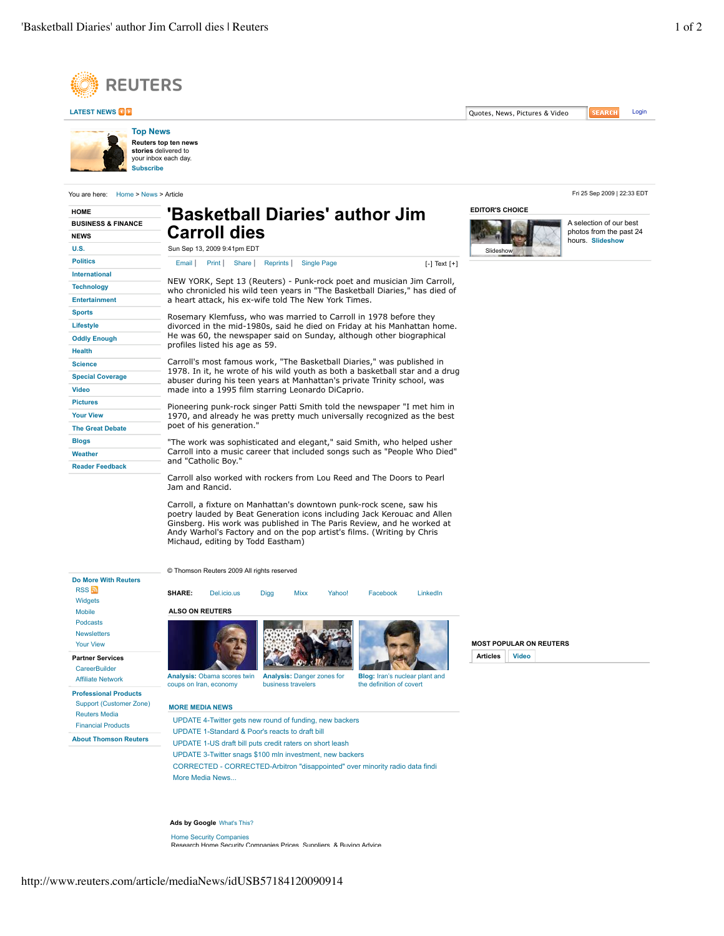



You are here: Home > News > Article Fri 25 Sep 2009 | 22:33 EDT

**Subscribe**

| <b>HOME</b>                                                 | 'Basketball Diaries' author Jim                                                                                                                                                                                                                                                                                                         | <b>EDITOR'S CHO</b> |                      |                                                                                                                                                                                                                                                                                                                                                                                                                                                                                                                                                                                                                                                                                                                                                                                                                                                                                                                                                                                                                                                                                                                                                                                                       |  |
|-------------------------------------------------------------|-----------------------------------------------------------------------------------------------------------------------------------------------------------------------------------------------------------------------------------------------------------------------------------------------------------------------------------------|---------------------|----------------------|-------------------------------------------------------------------------------------------------------------------------------------------------------------------------------------------------------------------------------------------------------------------------------------------------------------------------------------------------------------------------------------------------------------------------------------------------------------------------------------------------------------------------------------------------------------------------------------------------------------------------------------------------------------------------------------------------------------------------------------------------------------------------------------------------------------------------------------------------------------------------------------------------------------------------------------------------------------------------------------------------------------------------------------------------------------------------------------------------------------------------------------------------------------------------------------------------------|--|
| <b>BUSINESS &amp; FINANCE</b><br><b>NEWS</b><br><b>U.S.</b> | <b>Carroll dies</b><br>Sun Sep 13, 2009 9:41pm EDT                                                                                                                                                                                                                                                                                      | Slideshow           |                      |                                                                                                                                                                                                                                                                                                                                                                                                                                                                                                                                                                                                                                                                                                                                                                                                                                                                                                                                                                                                                                                                                                                                                                                                       |  |
|                                                             |                                                                                                                                                                                                                                                                                                                                         |                     | <b>Politics</b>      | Print  <br>Share  <br>Reprints  <br><b>Single Page</b><br>Email I<br>$[-]$ Text $[+]$<br>NEW YORK, Sept 13 (Reuters) - Punk-rock poet and musician Jim Carroll,<br>who chronicled his wild teen years in "The Basketball Diaries," has died of<br>a heart attack, his ex-wife told The New York Times.<br>Rosemary Klemfuss, who was married to Carroll in 1978 before they<br>divorced in the mid-1980s, said he died on Friday at his Manhattan home.<br>He was 60, the newspaper said on Sunday, although other biographical<br>profiles listed his age as 59.<br>Carroll's most famous work, "The Basketball Diaries," was published in<br>1978. In it, he wrote of his wild youth as both a basketball star and a drug<br>abuser during his teen years at Manhattan's private Trinity school, was<br>made into a 1995 film starring Leonardo DiCaprio.<br>Pioneering punk-rock singer Patti Smith told the newspaper "I met him in<br>1970, and already he was pretty much universally recognized as the best<br>poet of his generation."<br>"The work was sophisticated and elegant," said Smith, who helped usher<br>Carroll into a music career that included songs such as "People Who Died" |  |
|                                                             |                                                                                                                                                                                                                                                                                                                                         |                     | <b>International</b> |                                                                                                                                                                                                                                                                                                                                                                                                                                                                                                                                                                                                                                                                                                                                                                                                                                                                                                                                                                                                                                                                                                                                                                                                       |  |
| <b>Technology</b>                                           |                                                                                                                                                                                                                                                                                                                                         |                     |                      |                                                                                                                                                                                                                                                                                                                                                                                                                                                                                                                                                                                                                                                                                                                                                                                                                                                                                                                                                                                                                                                                                                                                                                                                       |  |
| <b>Entertainment</b>                                        |                                                                                                                                                                                                                                                                                                                                         |                     |                      |                                                                                                                                                                                                                                                                                                                                                                                                                                                                                                                                                                                                                                                                                                                                                                                                                                                                                                                                                                                                                                                                                                                                                                                                       |  |
| <b>Sports</b>                                               |                                                                                                                                                                                                                                                                                                                                         |                     |                      |                                                                                                                                                                                                                                                                                                                                                                                                                                                                                                                                                                                                                                                                                                                                                                                                                                                                                                                                                                                                                                                                                                                                                                                                       |  |
| Lifestyle                                                   |                                                                                                                                                                                                                                                                                                                                         |                     |                      |                                                                                                                                                                                                                                                                                                                                                                                                                                                                                                                                                                                                                                                                                                                                                                                                                                                                                                                                                                                                                                                                                                                                                                                                       |  |
| <b>Oddly Enough</b>                                         |                                                                                                                                                                                                                                                                                                                                         |                     |                      |                                                                                                                                                                                                                                                                                                                                                                                                                                                                                                                                                                                                                                                                                                                                                                                                                                                                                                                                                                                                                                                                                                                                                                                                       |  |
| <b>Health</b>                                               |                                                                                                                                                                                                                                                                                                                                         |                     |                      |                                                                                                                                                                                                                                                                                                                                                                                                                                                                                                                                                                                                                                                                                                                                                                                                                                                                                                                                                                                                                                                                                                                                                                                                       |  |
| <b>Science</b>                                              |                                                                                                                                                                                                                                                                                                                                         |                     |                      |                                                                                                                                                                                                                                                                                                                                                                                                                                                                                                                                                                                                                                                                                                                                                                                                                                                                                                                                                                                                                                                                                                                                                                                                       |  |
| <b>Special Coverage</b>                                     |                                                                                                                                                                                                                                                                                                                                         |                     |                      |                                                                                                                                                                                                                                                                                                                                                                                                                                                                                                                                                                                                                                                                                                                                                                                                                                                                                                                                                                                                                                                                                                                                                                                                       |  |
| <b>Video</b>                                                |                                                                                                                                                                                                                                                                                                                                         |                     |                      |                                                                                                                                                                                                                                                                                                                                                                                                                                                                                                                                                                                                                                                                                                                                                                                                                                                                                                                                                                                                                                                                                                                                                                                                       |  |
| <b>Pictures</b>                                             |                                                                                                                                                                                                                                                                                                                                         |                     |                      |                                                                                                                                                                                                                                                                                                                                                                                                                                                                                                                                                                                                                                                                                                                                                                                                                                                                                                                                                                                                                                                                                                                                                                                                       |  |
| <b>Your View</b>                                            |                                                                                                                                                                                                                                                                                                                                         |                     |                      |                                                                                                                                                                                                                                                                                                                                                                                                                                                                                                                                                                                                                                                                                                                                                                                                                                                                                                                                                                                                                                                                                                                                                                                                       |  |
| <b>The Great Debate</b>                                     |                                                                                                                                                                                                                                                                                                                                         |                     |                      |                                                                                                                                                                                                                                                                                                                                                                                                                                                                                                                                                                                                                                                                                                                                                                                                                                                                                                                                                                                                                                                                                                                                                                                                       |  |
| <b>Blogs</b>                                                |                                                                                                                                                                                                                                                                                                                                         |                     |                      |                                                                                                                                                                                                                                                                                                                                                                                                                                                                                                                                                                                                                                                                                                                                                                                                                                                                                                                                                                                                                                                                                                                                                                                                       |  |
| Weather                                                     |                                                                                                                                                                                                                                                                                                                                         |                     |                      |                                                                                                                                                                                                                                                                                                                                                                                                                                                                                                                                                                                                                                                                                                                                                                                                                                                                                                                                                                                                                                                                                                                                                                                                       |  |
| <b>Reader Feedback</b>                                      | and "Catholic Boy."                                                                                                                                                                                                                                                                                                                     |                     |                      |                                                                                                                                                                                                                                                                                                                                                                                                                                                                                                                                                                                                                                                                                                                                                                                                                                                                                                                                                                                                                                                                                                                                                                                                       |  |
|                                                             | Carroll also worked with rockers from Lou Reed and The Doors to Pearl<br>Jam and Rancid.                                                                                                                                                                                                                                                |                     |                      |                                                                                                                                                                                                                                                                                                                                                                                                                                                                                                                                                                                                                                                                                                                                                                                                                                                                                                                                                                                                                                                                                                                                                                                                       |  |
|                                                             | Carroll, a fixture on Manhattan's downtown punk-rock scene, saw his<br>poetry lauded by Beat Generation icons including Jack Kerouac and Allen<br>Ginsberg. His work was published in The Paris Review, and he worked at<br>Andy Warhol's Factory and on the pop artist's films. (Writing by Chris<br>Michaud, editing by Todd Eastham) |                     |                      |                                                                                                                                                                                                                                                                                                                                                                                                                                                                                                                                                                                                                                                                                                                                                                                                                                                                                                                                                                                                                                                                                                                                                                                                       |  |
|                                                             |                                                                                                                                                                                                                                                                                                                                         |                     |                      |                                                                                                                                                                                                                                                                                                                                                                                                                                                                                                                                                                                                                                                                                                                                                                                                                                                                                                                                                                                                                                                                                                                                                                                                       |  |

**Do More With Reuters Partner Services Professional Products About Thomson Reuters RSS** Widgets Mobile Podcasts Newsletters Your View **CareerBuilder** Affiliate Network Support (Customer Zone) Reuters Media Financial Products **SHARE:** Del.icio.us Digg Mixx Yahoo! Facebook LinkedIn **Analysis:** Obama scores twin coups on Iran, economy **Analysis:** Danger zones for business travelers **Blog:** Iran's nuclear plant and the definition of covert © Thomson Reuters 2009 All rights reserved **ALSO ON REUTERS MORE MEDIA NEWS** UPDATE 4-Twitter gets new round of funding, new backers UPDATE 1-Standard & Poor's reacts to draft bill UPDATE 1-US draft bill puts credit raters on short leash

UPDATE 3-Twitter snags \$100 mln investment, new backers CORRECTED - CORRECTED-Arbitron "disappointed" over minority radio data findi More Media News...

## **Ads by Google** What's This?

Home Security Companies Research Home Security Companies Prices, Suppliers, & Buying Advice. **MOST POPULAR ON REUTERS Articles Video**



A selection of our best photos from the past 24 hours. **Slideshow**